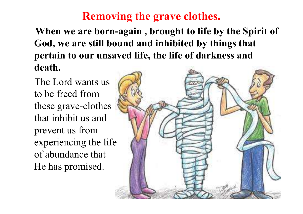**When we are born-again , brought to life by the Spirit of God, we are still bound and inhibited by things that pertain to our unsaved life, the life of darkness and death.** 

The Lord wants us to be freed from these grave-clothes that inhibit us and prevent us from experiencing the life of abundance that He has promised.

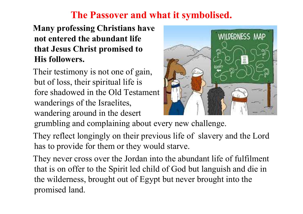# **The Passover and what it symbolised.**

#### **Many professing Christians have not entered the abundant life that Jesus Christ promised to His followers.**

Their testimony is not one of gain, but of loss, their spiritual life is fore shadowed in the Old Testament wanderings of the Israelites, wandering around in the desert



grumbling and complaining about every new challenge.

They reflect longingly on their previous life of slavery and the Lord has to provide for them or they would starve.

They never cross over the Jordan into the abundant life of fulfilment that is on offer to the Spirit led child of God but languish and die in the wilderness, brought out of Egypt but never brought into the promised land.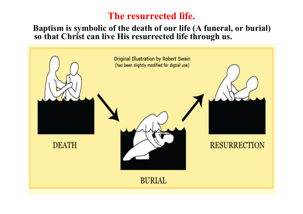### **The resurrected life.**

#### **Baptism is symbolic of the death of our life (A funeral, or burial) so that Christ can live His resurrected life through us.**

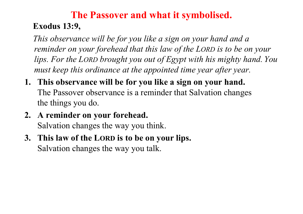# **The Passover and what it symbolised. Exodus 13:9,**

*This observance will be for you like a sign on your hand and a reminder on your forehead that this law of the LORD is to be on your lips. For the LORD brought you out of Egypt with his mighty hand. You must keep this ordinance at the appointed time year after year.*

- **1. This observance will be for you like a sign on your hand.**  The Passover observance is a reminder that Salvation changes the things you do.
- **2. A reminder on your forehead.**  Salvation changes the way you think.
- **3. This law of the LORD is to be on your lips.**  Salvation changes the way you talk.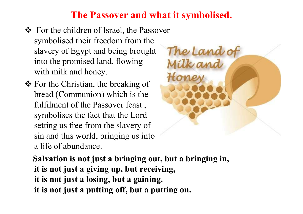# **The Passover and what it symbolised.**

- ❖ For the children of Israel, the Passover symbolised their freedom from the slavery of Egypt and being brought into the promised land, flowing with milk and honey.
- For the Christian, the breaking of bread (Communion) which is the fulfilment of the Passover feast , symbolises the fact that the Lord setting us free from the slavery of sin and this world, bringing us into a life of abundance.



**Salvation is not just a bringing out, but a bringing in, it is not just a giving up, but receiving, it is not just a losing, but a gaining, it is not just a putting off, but a putting on.**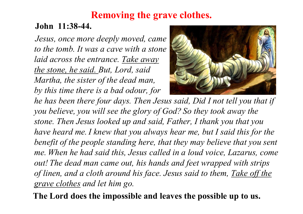#### **John 11:38-44.**

*Jesus, once more deeply moved, came to the tomb. It was a cave with a stone laid across the entrance. Take away the stone, he said. But, Lord, said Martha, the sister of the dead man, by this time there is a bad odour, for* 



*he has been there four days. Then Jesus said, Did I not tell you that if you believe, you will see the glory of God? So they took away the stone. Then Jesus looked up and said, Father, I thank you that you have heard me.I knew that you always hear me, but I said this for the benefit of the people standing here, that they may believe that you sent me. When he had said this, Jesus called in a loud voice, Lazarus, come out! The dead man came out, his hands and feet wrapped with strips of linen, and a cloth around his face. Jesus said to them, Take off the grave clothes and let him go.*

**The Lord does the impossible and leaves the possible up to us.**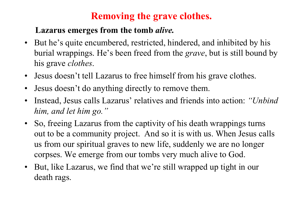#### **Lazarus emerges from the tomb** *alive.*

- But he's quite encumbered, restricted, hindered, and inhibited by his burial wrappings. He's been freed from the *grave*, but is still bound by his grave *clothes*.
- Jesus doesn't tell Lazarus to free himself from his grave clothes.
- Jesus doesn't do anything directly to remove them.
- Instead, Jesus calls Lazarus' relatives and friends into action: *"Unbind him, and let him go."*
- So, freeing Lazarus from the captivity of his death wrappings turns out to be a community project. And so it is with us. When Jesus calls us from our spiritual graves to new life, suddenly we are no longer corpses. We emerge from our tombs very much alive to God.
- But, like Lazarus, we find that we're still wrapped up tight in our death rags.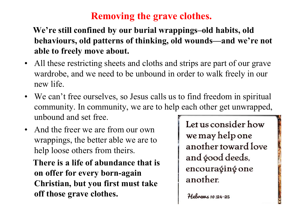#### **We're still confined by our burial wrappings–old habits, old behaviours, old patterns of thinking, old wounds—and we're not able to freely move about.**

- All these restricting sheets and cloths and strips are part of our grave wardrobe, and we need to be unbound in order to walk freely in our new life.
- We can't free ourselves, so Jesus calls us to find freedom in spiritual community. In community, we are to help each other get unwrapped, unbound and set free.
- And the freer we are from our own wrappings, the better able we are to help loose others from theirs.

**There is a life of abundance that is on offer for every born-again Christian, but you first must take off those grave clothes.**

Let us consider how we may help one another toward love and good deeds, encouraging one another.

Hebrems  $10:24-25$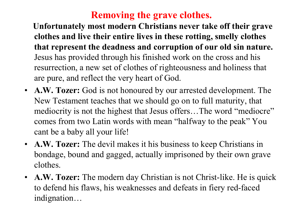**Unfortunately most modern Christians never take off their grave clothes and live their entire lives in these rotting, smelly clothes that represent the deadness and corruption of our old sin nature.**  Jesus has provided through his finished work on the cross and his resurrection, a new set of clothes of righteousness and holiness that are pure, and reflect the very heart of God.

- **A.W. Tozer:** God is not honoured by our arrested development. The New Testament teaches that we should go on to full maturity, that mediocrity is not the highest that Jesus offers...The word "mediocre" comes from two Latin words with mean "halfway to the peak" You cant be a baby all your life!
- **A.W. Tozer:** The devil makes it his business to keep Christians in bondage, bound and gagged, actually imprisoned by their own grave clothes.
- **A.W. Tozer:** The modern day Christian is not Christ-like. He is quick to defend his flaws, his weaknesses and defeats in fiery red-faced indignation…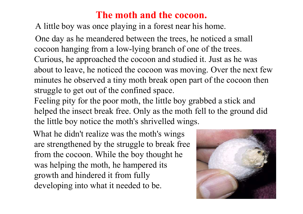## **The moth and the cocoon.**

A little boy was once playing in a forest near his home.

One day as he meandered between the trees, he noticed a small cocoon hanging from a low-lying branch of one of the trees. Curious, he approached the cocoon and studied it. Just as he was about to leave, he noticed the cocoon was moving. Over the next few minutes he observed a tiny moth break open part of the cocoon then struggle to get out of the confined space.

Feeling pity for the poor moth, the little boy grabbed a stick and helped the insect break free. Only as the moth fell to the ground did the little boy notice the moth's shrivelled wings.

What he didn't realize was the moth's wings are strengthened by the struggle to break free from the cocoon. While the boy thought he was helping the moth, he hampered its growth and hindered it from fully developing into what it needed to be.

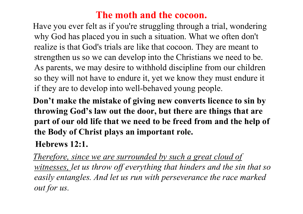# **The moth and the cocoon.**

Have you ever felt as if you're struggling through a trial, wondering why God has placed you in such a situation. What we often don't realize is that God's trials are like that cocoon. They are meant to strengthen us so we can develop into the Christians we need to be. As parents, we may desire to withhold discipline from our children so they will not have to endure it, yet we know they must endure it if they are to develop into well-behaved young people.

**Don't make the mistake of giving new converts licence to sin by throwing God's law out the door, but there are things that are part of our old life that we need to be freed from and the help of the Body of Christ plays an important role.**

**Hebrews 12:1.** 

*Therefore, since we are surrounded by such a great cloud of witnesses, let us throw off everything that hinders and the sin that so easily entangles. And let us run with perseverance the race marked out for us.*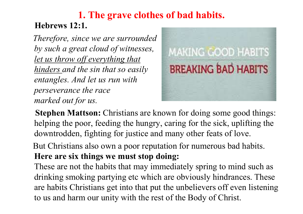# **1. The grave clothes of bad habits. Hebrews 12:1.**

*Therefore, since we are surrounded by such a great cloud of witnesses, let us throw off everything that hinders and the sin that so easily entangles. And let us run with perseverance the race marked out for us.*



**Stephen Mattson:** Christians are known for doing some good things: helping the poor, feeding the hungry, caring for the sick, uplifting the downtrodden, fighting for justice and many other feats of love.

But Christians also own a poor reputation for numerous bad habits. **Here are six things we must stop doing:** 

These are not the habits that may immediately spring to mind such as drinking smoking partying etc which are obviously hindrances. These are habits Christians get into that put the unbelievers off even listening to us and harm our unity with the rest of the Body of Christ.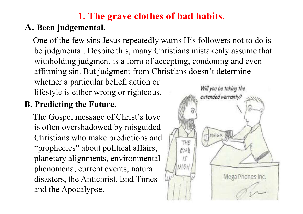# **A. Been judgemental.**

One of the few sins Jesus repeatedly warns His followers not to do is be judgmental. Despite this, many Christians mistakenly assume that withholding judgment is a form of accepting, condoning and even affirming sin. But judgment from Christians doesn't determine whether a particular belief, action or Will you be taking the lifestyle is either wrong or righteous..

# **B. Predicting the Future.**

The Gospel message of Christ's love is often overshadowed by misguided Christians who make predictions and "prophecies" about political affairs, planetary alignments, environmental phenomena, current events, natural disasters, the Antichrist, End Times and the Apocalypse.

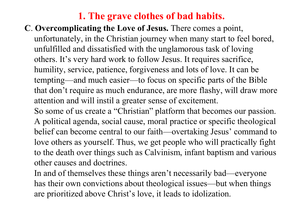#### **C**. **Overcomplicating the Love of Jesus.** There comes a point, unfortunately, in the Christian journey when many start to feel bored, unfulfilled and dissatisfied with the unglamorous task of loving others. It's very hard work to follow Jesus. It requires sacrifice, humility, service, patience, forgiveness and lots of love. It can be

tempting—and much easier—to focus on specific parts of the Bible that don't require as much endurance, are more flashy, will draw more attention and will instil a greater sense of excitement.

So some of us create a "Christian" platform that becomes our passion. A political agenda, social cause, moral practice or specific theological belief can become central to our faith—overtaking Jesus' command to love others as yourself. Thus, we get people who will practically fight to the death over things such as Calvinism, infant baptism and various other causes and doctrines.

In and of themselves these things aren't necessarily bad—everyone has their own convictions about theological issues—but when things are prioritized above Christ's love, it leads to idolization.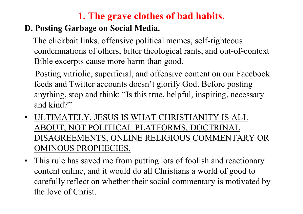#### **D. Posting Garbage on Social Media.**

The clickbait links, offensive political memes, self-righteous condemnations of others, bitter theological rants, and out-of-context Bible excerpts cause more harm than good.

Posting vitriolic, superficial, and offensive content on our Facebook feeds and Twitter accounts doesn't glorify God. Before posting anything, stop and think: "Is this true, helpful, inspiring, necessary and kind?"

- ULTIMATELY, JESUS IS WHAT CHRISTIANITY IS ALL ABOUT, NOT POLITICAL PLATFORMS, DOCTRINAL DISAGREEMENTS, ONLINE RELIGIOUS COMMENTARY OR OMINOUS PROPHECIES.
- This rule has saved me from putting lots of foolish and reactionary content online, and it would do all Christians a world of good to carefully reflect on whether their social commentary is motivated by the love of Christ.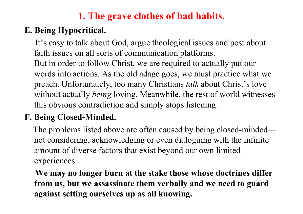#### **E. Being Hypocritical.**

It's easy to talk about God, argue theological issues and post about faith issues on all sorts of communication platforms. But in order to follow Christ, we are required to actually put our words into actions. As the old adage goes, we must practice what we preach. Unfortunately, too many Christians *talk* about Christ's love without actually *being* loving. Meanwhile, the rest of world witnesses this obvious contradiction and simply stops listening.

# **F. Being Closed-Minded.**

The problems listed above are often caused by being closed-minded not considering, acknowledging or even dialoguing with the infinite amount of diverse factors that exist beyond our own limited experiences.

**We may no longer burn at the stake those whose doctrines differ from us, but we assassinate them verbally and we need to guard against setting ourselves up as all knowing.**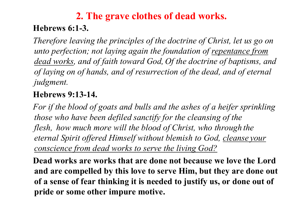# **2. The grave clothes of dead works. Hebrews 6:1-3.**

*Therefore leaving the principles of the doctrine of Christ, let us go on unto perfection; not laying again the foundation of repentance from dead works, and of faith toward God, Of the doctrine of baptisms, and of laying on of hands, and of resurrection of the dead, and of eternal judgment.*

#### **Hebrews 9:13-14.**

*For if the blood of goats and bulls and the ashes of a heifer sprinkling those who have been defiled sanctify for the cleansing of the flesh, how much more will the blood of Christ, who through the eternal Spirit offered Himself without blemish to God, cleanse your conscience from dead works to serve the living God?*

**Dead works are works that are done not because we love the Lord and are compelled by this love to serve Him, but they are done out of a sense of fear thinking it is needed to justify us, or done out of pride or some other impure motive.**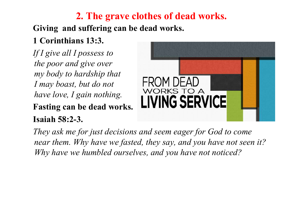# **2. The grave clothes of dead works.**

#### **Giving and suffering can be dead works.**

# **1 Corinthians 13:3.**

*If I give all I possess to the poor and give over my body to hardship that I may boast, but do not have love, I gain nothing.*

# **Fasting can be dead works. Isaiah 58:2-3.**



*They ask me for just decisions and seem eager for God to come near them. Why have we fasted, they say, and you have not seen it? Why have we humbled ourselves, and you have not noticed?*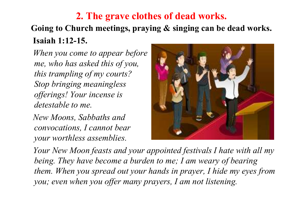# **2. The grave clothes of dead works. Going to Church meetings, praying & singing can be dead works. Isaiah 1:12-15.**

*When you come to appear before me, who has asked this of you, this trampling of my courts? Stop bringing meaningless offerings! Your incense is detestable to me.* 

*New Moons, Sabbaths and convocations, I cannot bear your worthless assemblies.*



*Your New Moon feasts and your appointed festivals I hate with all my being. They have become a burden to me; I am weary of bearing them. When you spread out your hands in prayer, I hide my eyes from you; even when you offer many prayers, I am not listening.*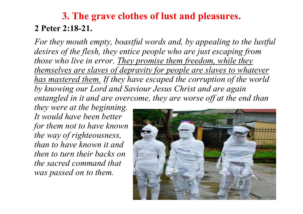# **3. The grave clothes of lust and pleasures. 2 Peter 2:18-21.**

*For they mouth empty, boastful words and, by appealing to the lustful desires of the flesh, they entice people who are just escaping from those who live in error. They promise them freedom, while they themselves are slaves of depravity for people are slaves to whatever has mastered them. If they have escaped the corruption of the world by knowing our Lord and Saviour Jesus Christ and are again entangled in it and are overcome, they are worse off at the end than* 

*they were at the beginning. It would have been better for them not to have known the way of righteousness, than to have known it and then to turn their backs on the sacred command that was passed on to them.* 

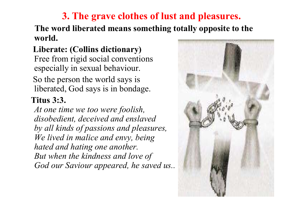#### **3. The grave clothes of lust and pleasures. The word liberated means something totally opposite to the world.**

#### **Liberate: (Collins dictionary)**  Free from rigid social conventions especially in sexual behaviour. So the person the world says is liberated, God says is in bondage.

#### **Titus 3:3.**

*At one time we too were foolish, disobedient, deceived and enslaved by all kinds of passions and pleasures, We lived in malice and envy, being hated and hating one another. But when the kindness and love of God our Saviour appeared, he saved us..* 

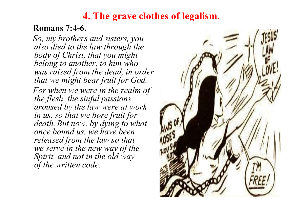# **4. The grave clothes of legalism.**

#### **Romans 7:4-6.**

*So, my brothers and sisters, you also died to the law through the body of Christ, that you might belong to another, to him who was raised from the dead, in order that we might bear fruit for God. For when we were in the realm of the flesh, the sinful passions aroused by the law were at work in us, so that we bore fruit for death. But now, by dying to what once bound us, we have been released from the law so that we serve in the new way of the Spirit, and not in the old way of the written code.*

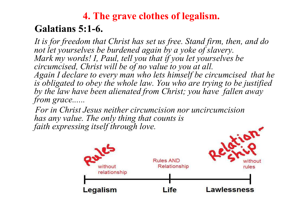# **4. The grave clothes of legalism. Galatians 5:1-6.**

*It is for freedom that Christ has set us free. Stand firm, then, and do not let yourselves be burdened again by a yoke of slavery. Mark my words! I, Paul, tell you that if you let yourselves be circumcised, Christ will be of no value to you at all. Again I declare to every man who lets himself be circumcised that he is obligated to obey the whole law. You who are trying to be justified by the law have been alienated from Christ; you have fallen away from grace......*

*For in Christ Jesus neither circumcision nor uncircumcision has any value. The only thing that counts is faith expressing itself through love.* 

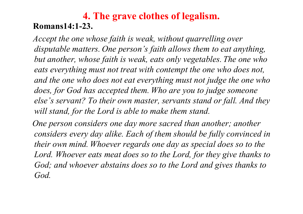#### **4. The grave clothes of legalism. Romans14:1-23.**

*Accept the one whose faith is weak, without quarrelling over disputable matters. One person's faith allows them to eat anything, but another, whose faith is weak, eats only vegetables. The one who eats everything must not treat with contempt the one who does not, and the one who does not eat everything must not judge the one who does, for God has accepted them. Who are you to judge someone else's servant? To their own master, servants stand or fall. And they will stand, for the Lord is able to make them stand.*

*One person considers one day more sacred than another; another considers every day alike. Each of them should be fully convinced in their own mind. Whoever regards one day as special does so to the*  Lord. Whoever eats meat does so to the Lord, for they give thanks to *God; and whoever abstains does so to the Lord and gives thanks to God.*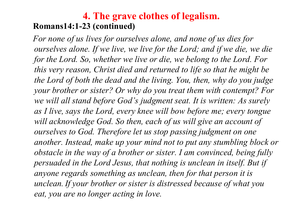#### **4. The grave clothes of legalism. Romans14:1-23 (continued)**

*For none of us lives for ourselves alone, and none of us dies for ourselves alone. If we live, we live for the Lord; and if we die, we die for the Lord. So, whether we live or die, we belong to the Lord. For this very reason, Christ died and returned to life so that he might be the Lord of both the dead and the living. You, then, why do you judge your brother or sister? Or why do you treat them with contempt? For we will all stand before God's judgment seat. It is written: As surely as I live, says the Lord, every knee will bow before me; every tongue*  will acknowledge God. So then, each of us will give an account of *ourselves to God. Therefore let us stop passing judgment on one another. Instead, make up your mind not to put any stumbling block or obstacle in the way of a brother or sister. I am convinced, being fully persuaded in the Lord Jesus, that nothing is unclean in itself. But if anyone regards something as unclean, then for that person it is unclean.If your brother or sister is distressed because of what you eat, you are no longer acting in love.*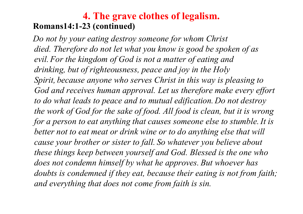#### **4. The grave clothes of legalism. Romans14:1-23 (continued)**

*Do not by your eating destroy someone for whom Christ died. Therefore do not let what you know is good be spoken of as evil. For the kingdom of God is not a matter of eating and drinking, but of righteousness, peace and joy in the Holy Spirit, because anyone who serves Christ in this way is pleasing to*  God and receives human approval. Let us therefore make every effort *to do what leads to peace and to mutual edification. Do not destroy the work of God for the sake of food. All food is clean, but it is wrong for a person to eat anything that causes someone else to stumble.It is better not to eat meat or drink wine or to do anything else that will cause your brother or sister to fall. So whatever you believe about these things keep between yourself and God. Blessed is the one who does not condemn himself by what he approves. But whoever has doubts is condemned if they eat, because their eating is not from faith; and everything that does not come from faith is sin.*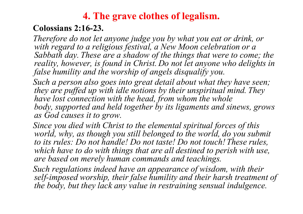# **4. The grave clothes of legalism.**

#### **Colossians 2:16-23.**

*Therefore do not let anyone judge you by what you eat or drink, or with regard to a religious festival, a New Moon celebration or a Sabbath day. These are a shadow of the things that were to come; the reality, however, is found in Christ. Do not let anyone who delights in false humility and the worship of angels disqualify you.*

*Such a person also goes into great detail about what they have seen; they are puffed up with idle notions by their unspiritual mind. They have lost connection with the head, from whom the whole body, supported and held together by its ligaments and sinews, grows as God causes it to grow.*

*Since you died with Christ to the elemental spiritual forces of this*  world, why, as though you still belonged to the world, do you submit *to its rules: Do not handle! Do not taste! Do not touch! These rules, which have to do with things that are all destined to perish with use, are based on merely human commands and teachings.*

*Such regulations indeed have an appearance of wisdom, with their self-imposed worship, their false humility and their harsh treatment of the body, but they lack any value in restraining sensual indulgence.*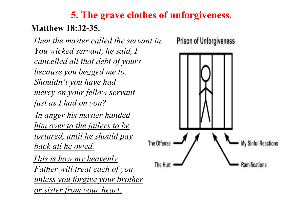# **5. The grave clothes of unforgiveness. Matthew 18:32-35.**

*Then the master called the servant in. You wicked servant, he said, I cancelled all that debt of yours because you begged me to. Shouldn't you have had mercy on your fellow servant just as I had on you?* 

*In anger his master handed him over to the jailers to be tortured, until he should pay back all he owed.* 

*This is how my heavenly Father will treat each of you unless you forgive your brother or sister from your heart.*

**Prison of Unforgiveness** 

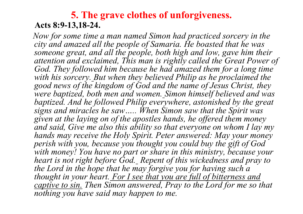#### **5. The grave clothes of unforgiveness. Acts 8:9-13,18-24.**

*Now for some time a man named Simon had practiced sorcery in the city and amazed all the people of Samaria. He boasted that he was someone great, and all the people, both high and low, gave him their attention and exclaimed, This man is rightly called the Great Power of*  God. They followed him because he had amazed them for a long time *with his sorcery. But when they believed Philip as he proclaimed the good news of the kingdom of God and the name of Jesus Christ, they were baptized, both men and women. Simon himself believed and was baptized. And he followed Philip everywhere, astonished by the great signs and miracles he saw….. When Simon saw that the Spirit was given at the laying on of the apostles hands, he offered them money and said, Give me also this ability so that everyone on whom I lay my hands may receive the Holy Spirit. Peter answered: May your money perish with you, because you thought you could buy the gift of God*  with money! You have no part or share in this ministry, because your *heart is not right before God. Repent of this wickedness and pray to the Lord in the hope that he may forgive you for having such a thought in your heart. For I see that you are full of bitterness and captive to sin. Then Simon answered, Pray to the Lord for me so that nothing you have said may happen to me.*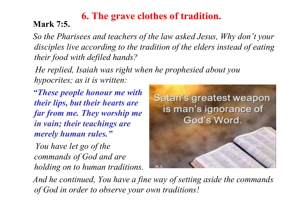# **6. The grave clothes of tradition. Mark 7:5.**

*So the Pharisees and teachers of the law asked Jesus, Why don't your disciples live according to the tradition of the elders instead of eating their food with defiled hands?* 

*He replied, Isaiah was right when he prophesied about you hypocrites; as it is written:*

*"These people honour me with their lips, but their hearts are far from me. They worship me in vain; their teachings are merely human rules."*

*You have let go of the commands of God and are holding on to human traditions.*



*And he continued, You have a fine way of setting aside the commands of God in order to observe your own traditions!*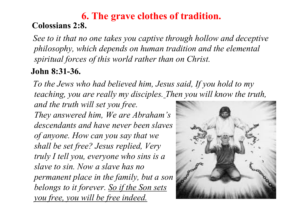#### **6. The grave clothes of tradition. Colossians 2:8.**

*See to it that no one takes you captive through hollow and deceptive philosophy, which depends on human tradition and the elemental spiritual forces of this world rather than on Christ.*

# **John 8:31-36.**

*To the Jews who had believed him, Jesus said, If you hold to my teaching, you are really my disciples. Then you will know the truth,* 

*and the truth will set you free. They answered him, We are Abraham's descendants and have never been slaves of anyone. How can you say that we shall be set free? Jesus replied, Very truly I tell you, everyone who sins is a slave to sin. Now a slave has no permanent place in the family, but a son belongs to it forever. So if the Son sets you free, you will be free indeed.*

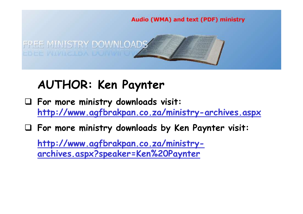

# **AUTHOR: Ken Paynter**

- **For more ministry downloads visit: http://www.agfbrakpan.co.za/ministry-archives.aspx**
- **For more ministry downloads by Ken Paynter visit:**

**http://www.agfbrakpan.co.za/ministryarchives.aspx?speaker=Ken%20Paynter**